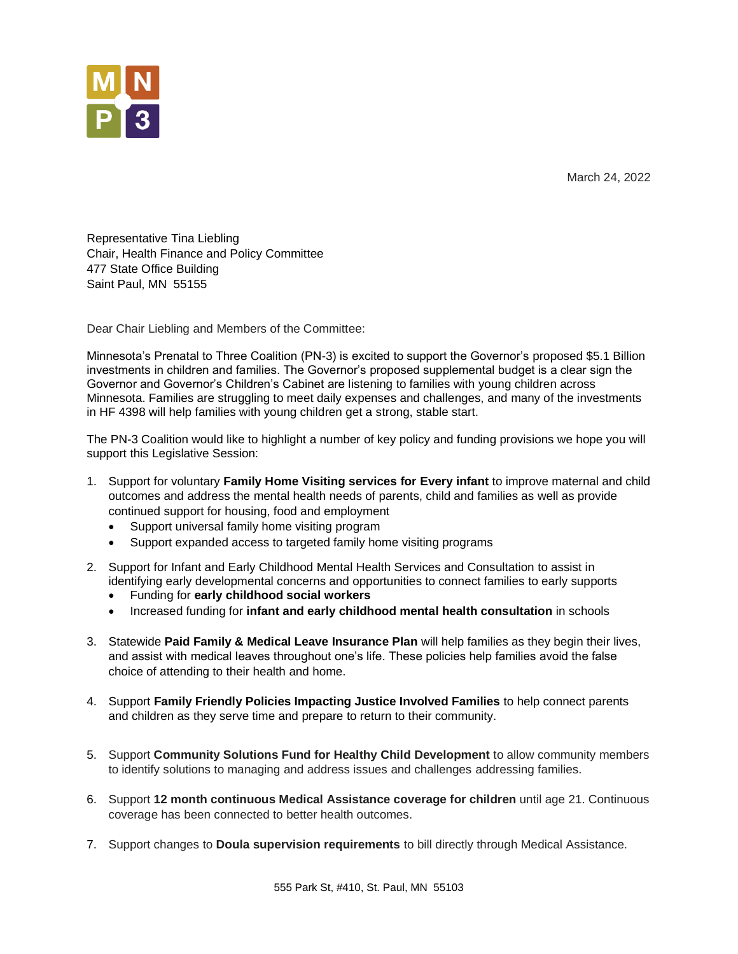March 24, 2022



Representative Tina Liebling Chair, Health Finance and Policy Committee 477 State Office Building Saint Paul, MN 55155

Dear Chair Liebling and Members of the Committee:

Minnesota's Prenatal to Three Coalition (PN-3) is excited to support the Governor's proposed \$5.1 Billion investments in children and families. The Governor's proposed supplemental budget is a clear sign the Governor and Governor's Children's Cabinet are listening to families with young children across Minnesota. Families are struggling to meet daily expenses and challenges, and many of the investments in HF 4398 will help families with young children get a strong, stable start.

The PN-3 Coalition would like to highlight a number of key policy and funding provisions we hope you will support this Legislative Session:

- 1. Support for voluntary **Family Home Visiting services for Every infant** to improve maternal and child outcomes and address the mental health needs of parents, child and families as well as provide continued support for housing, food and employment
	- Support universal family home visiting program
	- Support expanded access to targeted family home visiting programs
- 2. Support for Infant and Early Childhood Mental Health Services and Consultation to assist in identifying early developmental concerns and opportunities to connect families to early supports
	- Funding for **early childhood social workers**
	- Increased funding for **infant and early childhood mental health consultation** in schools
- 3. Statewide **Paid Family & Medical Leave Insurance Plan** will help families as they begin their lives, and assist with medical leaves throughout one's life. These policies help families avoid the false choice of attending to their health and home.
- 4. Support **Family Friendly Policies Impacting Justice Involved Families** to help connect parents and children as they serve time and prepare to return to their community.
- 5. Support **Community Solutions Fund for Healthy Child Development** to allow community members to identify solutions to managing and address issues and challenges addressing families.
- 6. Support **12 month continuous Medical Assistance coverage for children** until age 21. Continuous coverage has been connected to better health outcomes.
- 7. Support changes to **Doula supervision requirements** to bill directly through Medical Assistance.